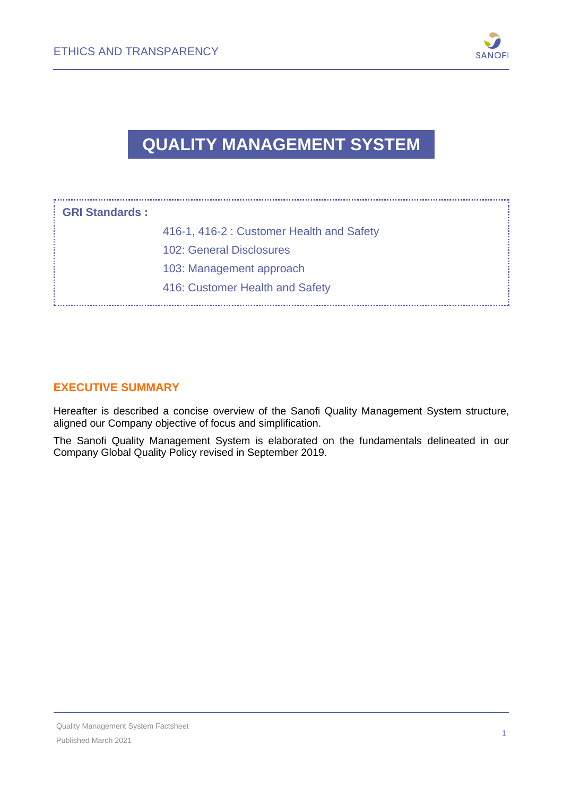

# **QUALITY MANAGEMENT SYSTEM**

| : GRI Standards : |                                           |
|-------------------|-------------------------------------------|
|                   | 416-1, 416-2 : Customer Health and Safety |
|                   | 102: General Disclosures                  |
|                   | 103: Management approach                  |
|                   | 416: Customer Health and Safety           |

#### **EXECUTIVE SUMMARY**

Hereafter is described a concise overview of the Sanofi Quality Management System structure, aligned our Company objective of focus and simplification.

The Sanofi Quality Management System is elaborated on the fundamentals delineated in our Company Global Quality Policy revised in September 2019.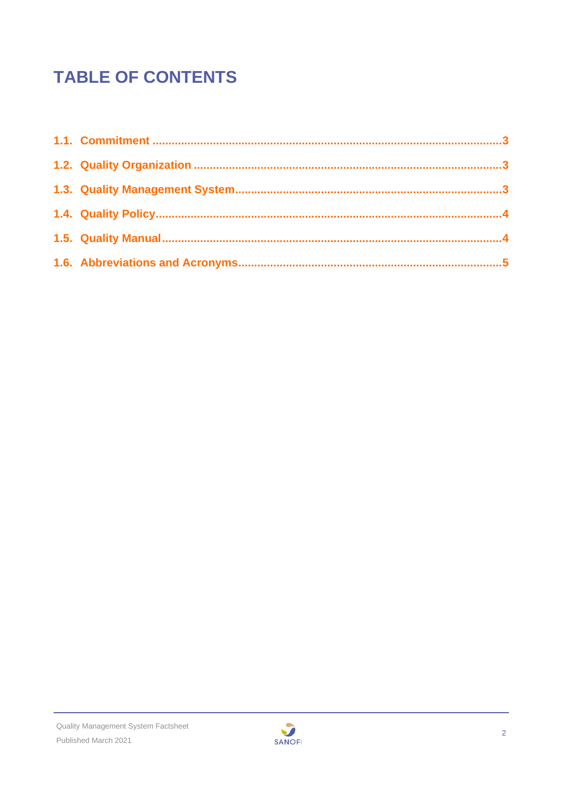# **TABLE OF CONTENTS**

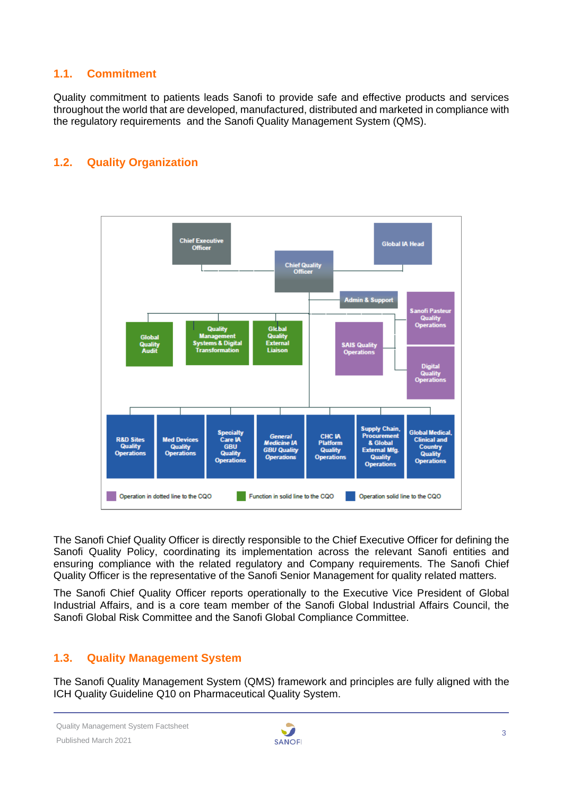#### <span id="page-2-0"></span>**1.1. Commitment**

Quality commitment to patients leads Sanofi to provide safe and effective products and services throughout the world that are developed, manufactured, distributed and marketed in compliance with the regulatory requirements and the Sanofi Quality Management System (QMS).

### <span id="page-2-1"></span>**1.2. Quality Organization**



The Sanofi Chief Quality Officer is directly responsible to the Chief Executive Officer for defining the Sanofi Quality Policy, coordinating its implementation across the relevant Sanofi entities and ensuring compliance with the related regulatory and Company requirements. The Sanofi Chief Quality Officer is the representative of the Sanofi Senior Management for quality related matters.

The Sanofi Chief Quality Officer reports operationally to the Executive Vice President of Global Industrial Affairs, and is a core team member of the Sanofi Global Industrial Affairs Council, the Sanofi Global Risk Committee and the Sanofi Global Compliance Committee.

#### <span id="page-2-2"></span>**1.3. Quality Management System**

The Sanofi Quality Management System (QMS) framework and principles are fully aligned with the ICH Quality Guideline Q10 on Pharmaceutical Quality System.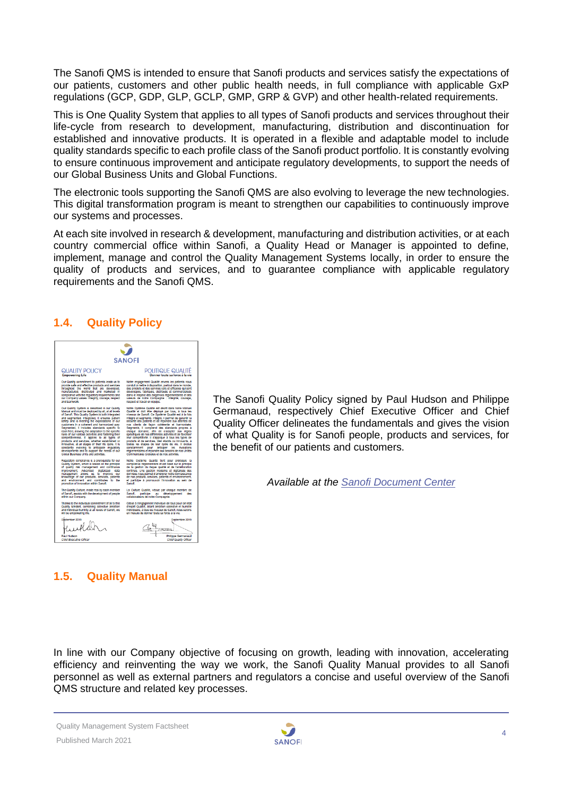The Sanofi QMS is intended to ensure that Sanofi products and services satisfy the expectations of our patients, customers and other public health needs, in full compliance with applicable GxP regulations (GCP, GDP, GLP, GCLP, GMP, GRP & GVP) and other health-related requirements.

This is One Quality System that applies to all types of Sanofi products and services throughout their life-cycle from research to development, manufacturing, distribution and discontinuation for established and innovative products. It is operated in a flexible and adaptable model to include quality standards specific to each profile class of the Sanofi product portfolio. It is constantly evolving to ensure continuous improvement and anticipate regulatory developments, to support the needs of our Global Business Units and Global Functions.

The electronic tools supporting the Sanofi QMS are also evolving to leverage the new technologies. This digital transformation program is meant to strengthen our capabilities to continuously improve our systems and processes.

At each site involved in research & development, manufacturing and distribution activities, or at each country commercial office within Sanofi, a Quality Head or Manager is appointed to define, implement, manage and control the Quality Management Systems locally, in order to ensure the quality of products and services, and to guarantee compliance with applicable regulatory requirements and the Sanofi QMS.

#### <span id="page-3-0"></span>**1.4. Quality Policy**

| <b>SANOFI</b>                                                                                                             |                                                                                                                                        |  |  |
|---------------------------------------------------------------------------------------------------------------------------|----------------------------------------------------------------------------------------------------------------------------------------|--|--|
|                                                                                                                           |                                                                                                                                        |  |  |
| <b>Empowering Life</b>                                                                                                    | Donner toute sa force à la vie                                                                                                         |  |  |
| Our Quality commitment to patients leads us to                                                                            | Notre engagement Qualité envers les patients nous                                                                                      |  |  |
| provide safe and effective products and services                                                                          | conduit a mettre a disposition, partout dans le monde,                                                                                 |  |  |
| throughout the world that are developed,                                                                                  | des produits et des services sûrs et efficaces qui sont                                                                                |  |  |
| manufactured, distributed and marketed in                                                                                 | développés, fabriqués, distribués et commercialisés                                                                                    |  |  |
| compilance with the requiatory requirements and                                                                           | dans le respect des exigences réglementaires et des                                                                                    |  |  |
| our Company values: Integrity, courage, respect                                                                           | valeurs de notre Compagnie : Intégrité, courage,                                                                                       |  |  |
| and teamwork.                                                                                                             | respect et travail en équipe.                                                                                                          |  |  |
| Our Quality System is described in our Quality                                                                            | Notre Système Qualité est décrit dans notre Manuel                                                                                     |  |  |
| Manual and must be deployed by all, at all levels                                                                         | Qualité et doit être déployé par tous, à tous les                                                                                      |  |  |
| of Sanofi. This Quality System is both Integrated                                                                         | niveaux de Sanofi. Ce Système Qualité est à la fois                                                                                    |  |  |
| and segmented, Integrated, It ensures patient                                                                             | Intégré et segmenté, Intégré, Il permet de garantir la                                                                                 |  |  |
| safety and is meeting the expectations of our                                                                             | sécurité des patients et de répondre aux attentes de                                                                                   |  |  |
| customers in a coherent and harmonized way.                                                                               | nos cilents de façon cohérente et harmonisée.                                                                                          |  |  |
| Segmented, it includes standards specific to                                                                              | Segmenté, il comprend des standards propres à                                                                                          |  |  |
| each field, allowing the adaptation to the specific                                                                       | chaque domaine, afin de s'adapter aux régles                                                                                           |  |  |
| rules of our various activities and fostering their                                                                       | spécifiques de nos différentes activités et de favoriser                                                                               |  |  |
| competitiveness. It applies to all types of                                                                               | leur compétitivité. Il s'applique à tous les types de                                                                                  |  |  |
| products and services, whether established or                                                                             | produits et de services, bien établis ou innovants, à                                                                                  |  |  |
| innovative, at all stages of their life cycle. It is                                                                      | toutes les étapes de leur cycle de vie. Il évolue                                                                                      |  |  |
| constantly evolving to anticipate requiatory                                                                              | constamment pour anticiper les évolutions                                                                                              |  |  |
| developments and to support the needs of our                                                                              | réglementaires et répondre aux besoins de nos Unités                                                                                   |  |  |
| Global Business Units and activities.                                                                                     | Commerciales Globales et de nos activités.                                                                                             |  |  |
| Regulatory compilance is a prerequisite for our                                                                           | Notre Système Qualité tient pour prérequis la                                                                                          |  |  |
| Quality System, which is based on the principle                                                                           | compilance réglementaire et est basé sur le principe                                                                                   |  |  |
| of quality risk management and continuous                                                                                 | de la gestion du risque qualité et de l'amélioration                                                                                   |  |  |
| Improvement. Advanced digitalized data                                                                                    | continue. Une gestion moderne et digitalisée des                                                                                       |  |  |
| management allows us to improve our                                                                                       | données nous permet d'améllorer notre connaissance                                                                                     |  |  |
| knowledge of our products, services, patients                                                                             | de nos produits, services, patients et environnement,                                                                                  |  |  |
| and environment and contributes to the                                                                                    | et participe à promouvoir l'innovation au sein de                                                                                      |  |  |
| promotion of Innovation within Sanofi.                                                                                    | Sannfl                                                                                                                                 |  |  |
| The Quality Culture, made real by each member<br>of Sanoti, assists with the development of people<br>within our Company. | La Culture Qualité, vécue par chaque membre de<br>développement<br>Sanofi<br>participe au<br>des<br>collaborateurs de notre Compagnie. |  |  |
| Thanks to the individual commitment of all to this                                                                        | Grace à l'engagement individuel de tous pour cet état                                                                                  |  |  |
| Quality Mindset, combining collective ambition                                                                            | d'esprit Qualité, alliant ambition collective et humilité                                                                              |  |  |
| and individual humlity at all levels of Sanon, we                                                                         | Individuelle, à tous les niveaux de Sanofi, nous serons                                                                                |  |  |
| will be empowering life.                                                                                                  | en mesure de donner toute sa force à la vie.                                                                                           |  |  |
| ctember 2019<br>المدرو<br><b>Paul Hudson</b>                                                                              | Septembre 2019<br>Philippe Germanaud                                                                                                   |  |  |
| <b>Chief Executive Officer</b>                                                                                            | <b>Chief Quality Officer</b>                                                                                                           |  |  |

The Sanofi Quality Policy signed by Paul Hudson and Philippe Germanaud, respectively Chief Executive Officer and Chief Quality Officer delineates the fundamentals and gives the vision of what Quality is for Sanofi people, products and services, for the benefit of our patients and customers.

*Available at the [Sanofi Document Center](https://www.sanofi.com/en/our-responsibility/documents-center/)*

#### <span id="page-3-1"></span>**1.5. [Quality Manual](https://www.sanofi.com/media/Project/One-Sanofi-Web/sanofi-com/common/docs/download-center/Global-Quality-Manual_v5.0_Nov2017.pdf)**

In line with our Company objective of focusing on growth, leading with innovation, accelerating efficiency and reinventing the way we work, the Sanofi Quality Manual provides to all Sanofi personnel as well as external partners and regulators a concise and useful overview of the Sanofi QMS structure and related key processes.

Quality Management System Factsheet Published March 2021